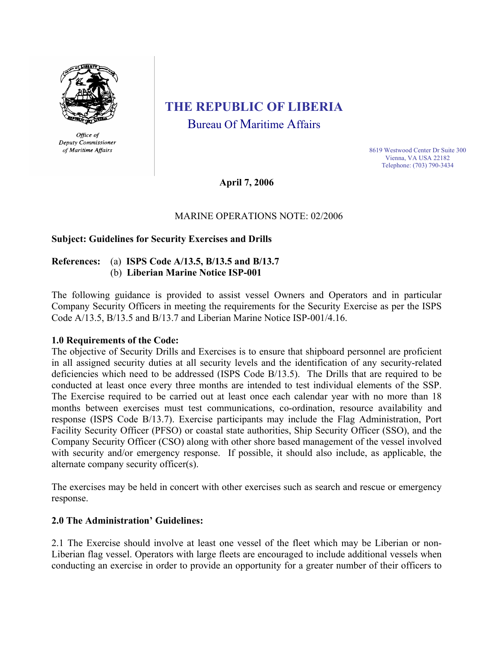

Office of Deputy Commissioner of Maritime Affairs

# **THE REPUBLIC OF LIBERIA**

Bureau Of Maritime Affairs

8619 Westwood Center Dr Suite 300 Vienna, VA USA 22182 Telephone: (703) 790-3434

**April 7, 2006** 

# MARINE OPERATIONS NOTE: 02/2006

# **Subject: Guidelines for Security Exercises and Drills**

### **References:** (a) **ISPS Code A/13.5, B/13.5 and B/13.7** (b) **Liberian Marine Notice ISP-001**

The following guidance is provided to assist vessel Owners and Operators and in particular Company Security Officers in meeting the requirements for the Security Exercise as per the ISPS Code A/13.5, B/13.5 and B/13.7 and Liberian Marine Notice ISP-001/4.16.

# **1.0 Requirements of the Code:**

The objective of Security Drills and Exercises is to ensure that shipboard personnel are proficient in all assigned security duties at all security levels and the identification of any security-related deficiencies which need to be addressed (ISPS Code B/13.5). The Drills that are required to be conducted at least once every three months are intended to test individual elements of the SSP. The Exercise required to be carried out at least once each calendar year with no more than 18 months between exercises must test communications, co-ordination, resource availability and response (ISPS Code B/13.7). Exercise participants may include the Flag Administration, Port Facility Security Officer (PFSO) or coastal state authorities, Ship Security Officer (SSO), and the Company Security Officer (CSO) along with other shore based management of the vessel involved with security and/or emergency response. If possible, it should also include, as applicable, the alternate company security officer(s).

The exercises may be held in concert with other exercises such as search and rescue or emergency response.

# **2.0 The Administration' Guidelines:**

2.1 The Exercise should involve at least one vessel of the fleet which may be Liberian or non-Liberian flag vessel. Operators with large fleets are encouraged to include additional vessels when conducting an exercise in order to provide an opportunity for a greater number of their officers to